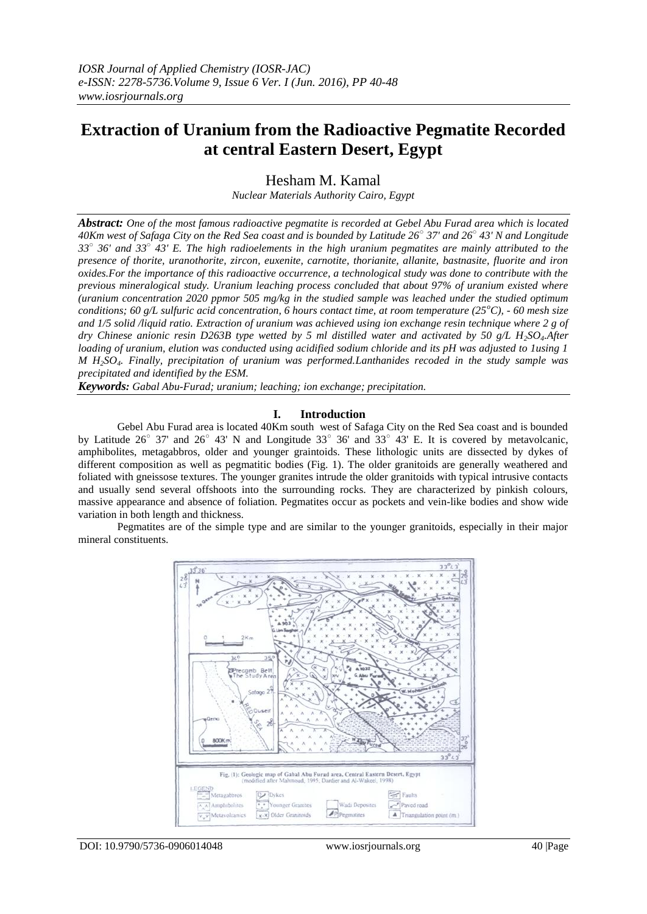# **Extraction of Uranium from the Radioactive Pegmatite Recorded at central Eastern Desert, Egypt**

Hesham M. Kamal

*Nuclear Materials Authority Cairo, Egypt*

*Abstract: One of the most famous radioactive pegmatite is recorded at Gebel Abu Furad area which is located 40Km west of Safaga City on the Red Sea coast and is bounded by Latitude 26○ 37' and 26○ 43' N and Longitude 33○ 36' and 33○ 43' E. The high radioelements in the high uranium pegmatites are mainly attributed to the presence of thorite, uranothorite, zircon, euxenite, carnotite, thorianite, allanite, bastnasite, fluorite and iron oxides.For the importance of this radioactive occurrence, a technological study was done to contribute with the previous mineralogical study. Uranium leaching process concluded that about 97% of uranium existed where (uranium concentration 2020 ppmor 505 mg/kg in the studied sample was leached under the studied optimum conditions; 60 g/L sulfuric acid concentration, 6 hours contact time, at room temperature (25<sup>o</sup>C), - 60 mesh size and 1/5 solid /liquid ratio. Extraction of uranium was achieved using ion exchange resin technique where 2 g of dry Chinese anionic resin D263B type wetted by 5 ml distilled water and activated by 50 g/L H2SO4.After loading of uranium, elution was conducted using acidified sodium chloride and its pH was adjusted to 1using 1 M H2SO4. Finally, precipitation of uranium was performed.Lanthanides recoded in the study sample was precipitated and identified by the ESM.*

*Keywords: Gabal Abu-Furad; uranium; leaching; ion exchange; precipitation.*

#### **I. Introduction**

Gebel Abu Furad area is located 40Km south west of Safaga City on the Red Sea coast and is bounded by Latitude  $26^{\circ}$  37' and  $26^{\circ}$  43' N and Longitude 33 $^{\circ}$  36' and 33 $^{\circ}$  43' E. It is covered by metavolcanic, amphibolites, metagabbros, older and younger graintoids. These lithologic units are dissected by dykes of different composition as well as pegmatitic bodies (Fig. 1). The older granitoids are generally weathered and foliated with gneissose textures. The younger granites intrude the older granitoids with typical intrusive contacts and usually send several offshoots into the surrounding rocks. They are characterized by pinkish colours, massive appearance and absence of foliation. Pegmatites occur as pockets and vein-like bodies and show wide variation in both length and thickness.

Pegmatites are of the simple type and are similar to the younger granitoids, especially in their major mineral constituents.

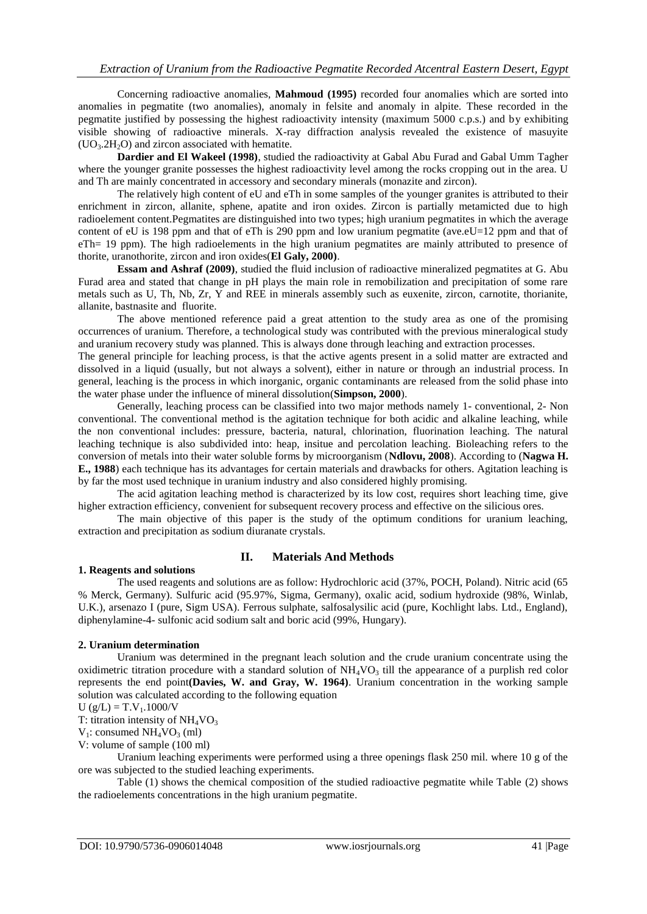Concerning radioactive anomalies, **Mahmoud (1995)** recorded four anomalies which are sorted into anomalies in pegmatite (two anomalies), anomaly in felsite and anomaly in alpite. These recorded in the pegmatite justified by possessing the highest radioactivity intensity (maximum 5000 c.p.s.) and by exhibiting visible showing of radioactive minerals. X-ray diffraction analysis revealed the existence of masuyite  $(UO<sub>3</sub>.2H<sub>2</sub>O)$  and zircon associated with hematite.

**Dardier and El Wakeel (1998)**, studied the radioactivity at Gabal Abu Furad and Gabal Umm Tagher where the younger granite possesses the highest radioactivity level among the rocks cropping out in the area. U and Th are mainly concentrated in accessory and secondary minerals (monazite and zircon).

The relatively high content of eU and eTh in some samples of the younger granites is attributed to their enrichment in zircon, allanite, sphene, apatite and iron oxides. Zircon is partially metamicted due to high radioelement content.Pegmatites are distinguished into two types; high uranium pegmatites in which the average content of eU is 198 ppm and that of eTh is 290 ppm and low uranium pegmatite (ave.eU=12 ppm and that of eTh= 19 ppm). The high radioelements in the high uranium pegmatites are mainly attributed to presence of thorite, uranothorite, zircon and iron oxides(**El Galy, 2000)**.

**Essam and Ashraf (2009)**, studied the fluid inclusion of radioactive mineralized pegmatites at G. Abu Furad area and stated that change in pH plays the main role in remobilization and precipitation of some rare metals such as U, Th, Nb, Zr, Y and REE in minerals assembly such as euxenite, zircon, carnotite, thorianite, allanite, bastnasite and fluorite.

The above mentioned reference paid a great attention to the study area as one of the promising occurrences of uranium. Therefore, a technological study was contributed with the previous mineralogical study and uranium recovery study was planned. This is always done through leaching and extraction processes.

The general principle for leaching process, is that the active agents present in a solid matter are extracted and dissolved in a liquid (usually, but not always a solvent), either in nature or through an industrial process. In general, leaching is the process in which inorganic, organic contaminants are released from the solid phase into the water phase under the influence of mineral dissolution(**Simpson, 2000**).

Generally, leaching process can be classified into two major methods namely 1- conventional, 2- Non conventional. The conventional method is the agitation technique for both acidic and alkaline leaching, while the non conventional includes: pressure, bacteria, natural, chlorination, fluorination leaching. The natural leaching technique is also subdivided into: heap, insitue and percolation leaching. Bioleaching refers to the conversion of metals into their water soluble forms by microorganism (**Ndlovu, 2008**). According to (**Nagwa H. E., 1988**) each technique has its advantages for certain materials and drawbacks for others. Agitation leaching is by far the most used technique in uranium industry and also considered highly promising.

The acid agitation leaching method is characterized by its low cost, requires short leaching time, give higher extraction efficiency, convenient for subsequent recovery process and effective on the silicious ores.

The main objective of this paper is the study of the optimum conditions for uranium leaching, extraction and precipitation as sodium diuranate crystals.

#### **1. Reagents and solutions**

#### **II. Materials And Methods**

The used reagents and solutions are as follow: Hydrochloric acid (37%, POCH, Poland). Nitric acid (65 % Merck, Germany). Sulfuric acid (95.97%, Sigma, Germany), oxalic acid, sodium hydroxide (98%, Winlab, U.K.), arsenazo I (pure, Sigm USA). Ferrous sulphate, salfosalysilic acid (pure, Kochlight labs. Ltd., England), diphenylamine-4- sulfonic acid sodium salt and boric acid (99%, Hungary).

#### **2. Uranium determination**

Uranium was determined in the pregnant leach solution and the crude uranium concentrate using the oxidimetric titration procedure with a standard solution of  $NH<sub>4</sub>VO<sub>3</sub>$  till the appearance of a purplish red color represents the end point**(Davies, W. and Gray, W. 1964)**. Uranium concentration in the working sample solution was calculated according to the following equation

$$
U (g/L) = T.V1.1000/V
$$

T: titration intensity of  $NH<sub>4</sub>VO<sub>3</sub>$ 

 $V_1$ : consumed  $NH_4VO_3$  (ml)

V: volume of sample (100 ml)

Uranium leaching experiments were performed using a three openings flask 250 mil. where 10 g of the ore was subjected to the studied leaching experiments.

Table (1) shows the chemical composition of the studied radioactive pegmatite while Table (2) shows the radioelements concentrations in the high uranium pegmatite.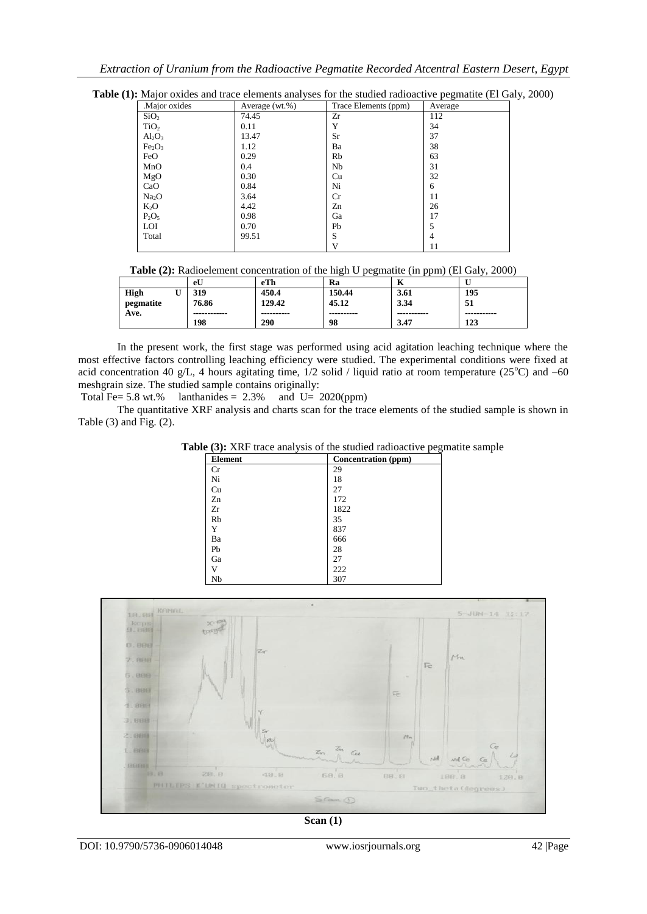| Major oxides                   | Average (wt.%) | Trace Elements (ppm) | Average |
|--------------------------------|----------------|----------------------|---------|
| SiO <sub>2</sub>               | 74.45          | Zr                   | 112     |
| TiO <sub>2</sub>               | 0.11           | Y                    | 34      |
| $Al_2O_3$                      | 13.47          | Sr                   | 37      |
| Fe <sub>2</sub> O <sub>3</sub> | 1.12           | Ba                   | 38      |
| FeO                            | 0.29           | Rb                   | 63      |
| MnO                            | 0.4            | Nb                   | 31      |
| MgO                            | 0.30           | Cu                   | 32      |
| CaO                            | 0.84           | Ni                   | 6       |
| Na <sub>2</sub> O              | 3.64           | Cr                   | 11      |
| $K_2O$                         | 4.42           | Zn                   | 26      |
| $P_2O_5$                       | 0.98           | Ga                   | 17      |
| <b>LOI</b>                     | 0.70           | Pb                   | 5       |
| Total                          | 99.51          | S                    | 4       |
|                                |                | V                    | 11      |

Table (1): Major oxides and trace elements analyses for the studied radioactive pegmatite (El Galy, 2000)

|             | eU           | eTh        | Ra         | -           |             |
|-------------|--------------|------------|------------|-------------|-------------|
| <b>High</b> | 319          | 450.4      | 150.44     | 3.61        | 195         |
| pegmatite   | 76.86        | 129.42     | 45.12      | 3.34        | 51          |
| Ave.        | ------------ | ---------- | ---------- | ----------- | ----------- |
|             | 198          | 290        | 98         | 3.47        | 123         |

In the present work, the first stage was performed using acid agitation leaching technique where the most effective factors controlling leaching efficiency were studied. The experimental conditions were fixed at acid concentration 40 g/L, 4 hours agitating time,  $1/2$  solid / liquid ratio at room temperature (25 $^{\circ}$ C) and –60 meshgrain size. The studied sample contains originally:

Total Fe=  $5.8$  wt.% lanthanides =  $2.3\%$  and U=  $2020(ppm)$ 

The quantitative XRF analysis and charts scan for the trace elements of the studied sample is shown in Table  $(3)$  and Fig.  $(2)$ .

**Table (3):** XRF trace analysis of the studied radioactive pegmatite sample

| <b>Element</b> | <b>Concentration</b> (ppm) |
|----------------|----------------------------|
| Cr             | 29                         |
| Ni             | 18                         |
| Cu             | 27                         |
| Zn             | 172                        |
| Zr             | 1822                       |
| Rb             | 35                         |
| Y              | 837                        |
| Ba             | 666                        |
| Pb             | 28                         |
| Ga             | 27                         |
| V              | 222                        |
| Nb             | 307                        |



**Scan (1)**

DOI: 10.9790/5736-0906014048 www.iosrjournals.org 42 |Page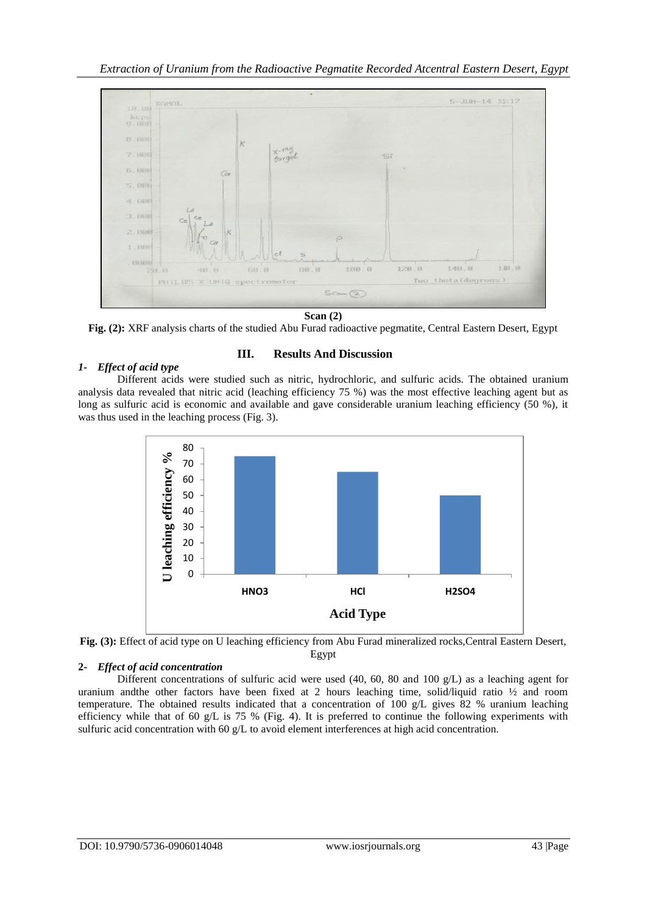

**Scan (2)**

**Fig. (2):** XRF analysis charts of the studied Abu Furad radioactive pegmatite, Central Eastern Desert, Egypt

# *1- Effect of acid type*

#### Different acids were studied such as nitric, hydrochloric, and sulfuric acids. The obtained uranium analysis data revealed that nitric acid (leaching efficiency 75 %) was the most effective leaching agent but as long as sulfuric acid is economic and available and gave considerable uranium leaching efficiency (50 %), it was thus used in the leaching process (Fig. 3).

**III. Results And Discussion**



**Fig. (3):** Effect of acid type on U leaching efficiency from Abu Furad mineralized rocks,Central Eastern Desert, Egypt

# **2-** *Effect of acid concentration*

Different concentrations of sulfuric acid were used (40, 60, 80 and 100 g/L) as a leaching agent for uranium and the other factors have been fixed at 2 hours leaching time, solid/liquid ratio  $\frac{1}{2}$  and room temperature. The obtained results indicated that a concentration of 100 g/L gives 82 % uranium leaching efficiency while that of 60 g/L is 75 % (Fig. 4). It is preferred to continue the following experiments with sulfuric acid concentration with 60 g/L to avoid element interferences at high acid concentration.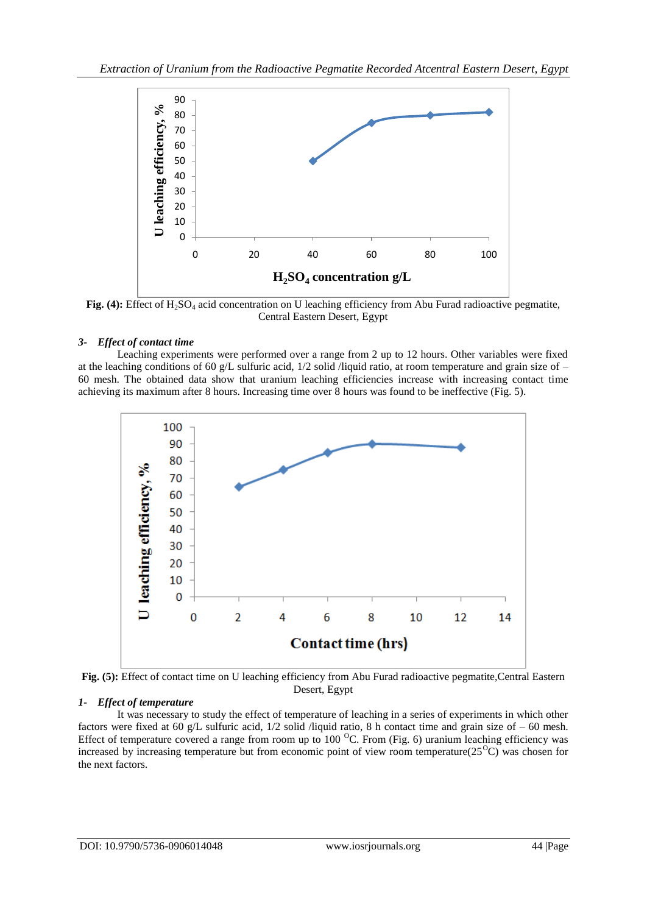

**Fig. (4):** Effect of H<sub>2</sub>SO<sub>4</sub> acid concentration on U leaching efficiency from Abu Furad radioactive pegmatite, Central Eastern Desert, Egypt

# *3- Effect of contact time*

Leaching experiments were performed over a range from 2 up to 12 hours. Other variables were fixed at the leaching conditions of 60 g/L sulfuric acid,  $1/2$  solid /liquid ratio, at room temperature and grain size of – 60 mesh. The obtained data show that uranium leaching efficiencies increase with increasing contact time achieving its maximum after 8 hours. Increasing time over 8 hours was found to be ineffective (Fig. 5).



**Fig. (5):** Effect of contact time on U leaching efficiency from Abu Furad radioactive pegmatite,Central Eastern Desert, Egypt

# *1- Effect of temperature*

It was necessary to study the effect of temperature of leaching in a series of experiments in which other factors were fixed at 60 g/L sulfuric acid, 1/2 solid /liquid ratio, 8 h contact time and grain size of – 60 mesh. Effect of temperature covered a range from room up to  $100<sup>o</sup>C$ . From (Fig. 6) uranium leaching efficiency was increased by increasing temperature but from economic point of view room temperature( $25^{\circ}\text{C}$ ) was chosen for the next factors.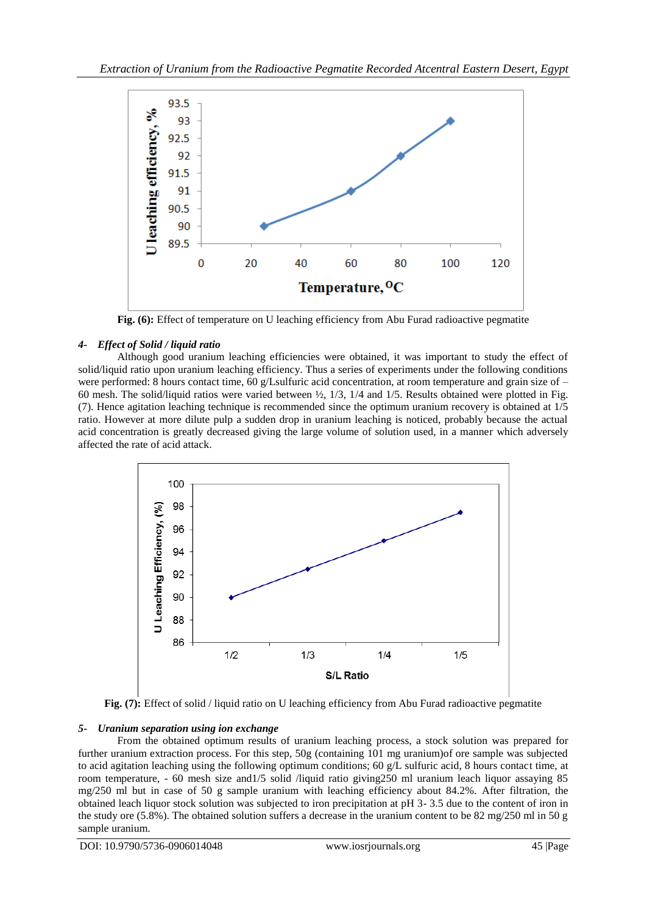

**Fig. (6):** Effect of temperature on U leaching efficiency from Abu Furad radioactive pegmatite

# *4- Effect of Solid / liquid ratio*

Although good uranium leaching efficiencies were obtained, it was important to study the effect of solid/liquid ratio upon uranium leaching efficiency. Thus a series of experiments under the following conditions were performed: 8 hours contact time, 60 g/Lsulfuric acid concentration, at room temperature and grain size of – 60 mesh. The solid/liquid ratios were varied between  $\frac{1}{2}$ , 1/3, 1/4 and 1/5. Results obtained were plotted in Fig. (7). Hence agitation leaching technique is recommended since the optimum uranium recovery is obtained at 1/5 ratio. However at more dilute pulp a sudden drop in uranium leaching is noticed, probably because the actual acid concentration is greatly decreased giving the large volume of solution used, in a manner which adversely affected the rate of acid attack.



**Fig. (7):** Effect of solid / liquid ratio on U leaching efficiency from Abu Furad radioactive pegmatite

# *5- Uranium separation using ion exchange*

From the obtained optimum results of uranium leaching process, a stock solution was prepared for further uranium extraction process. For this step, 50g (containing 101 mg uranium)of ore sample was subjected to acid agitation leaching using the following optimum conditions; 60 g/L sulfuric acid, 8 hours contact time, at room temperature, - 60 mesh size and1/5 solid /liquid ratio giving250 ml uranium leach liquor assaying 85 mg/250 ml but in case of 50 g sample uranium with leaching efficiency about 84.2%. After filtration, the obtained leach liquor stock solution was subjected to iron precipitation at pH 3- 3.5 due to the content of iron in the study ore (5.8%). The obtained solution suffers a decrease in the uranium content to be 82 mg/250 ml in 50 g sample uranium.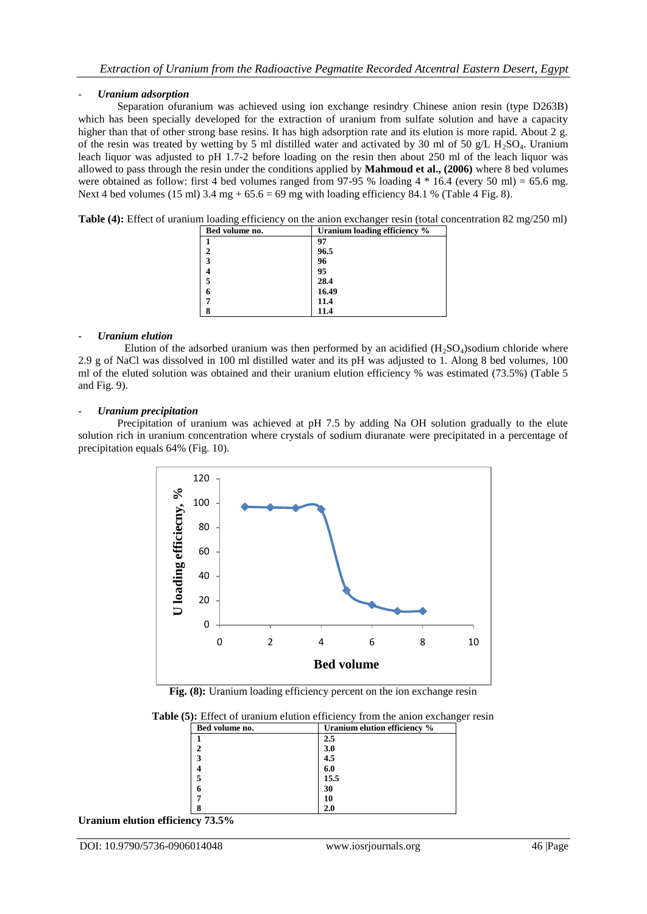# - *Uranium adsorption*

Separation ofuranium was achieved using ion exchange resindry Chinese anion resin (type D263B) which has been specially developed for the extraction of uranium from sulfate solution and have a capacity higher than that of other strong base resins. It has high adsorption rate and its elution is more rapid. About 2 g. of the resin was treated by wetting by 5 ml distilled water and activated by 30 ml of 50 g/L  $H_2SO_4$ . Uranium leach liquor was adjusted to pH 1.7-2 before loading on the resin then about 250 ml of the leach liquor was allowed to pass through the resin under the conditions applied by **Mahmoud et al., (2006)** where 8 bed volumes were obtained as follow: first 4 bed volumes ranged from 97-95 % loading 4  $*$  16.4 (every 50 ml) = 65.6 mg. Next 4 bed volumes (15 ml)  $3.4 \text{ mg} + 65.6 = 69 \text{ mg}$  with loading efficiency 84.1 % (Table 4 Fig. 8).

**Table (4):** Effect of uranium loading efficiency on the anion exchanger resin (total concentration 82 mg/250 ml)

| Bed volume no. | Uranium loading efficiency % |  |  |  |  |
|----------------|------------------------------|--|--|--|--|
|                | 97                           |  |  |  |  |
|                | 96.5                         |  |  |  |  |
| 3              | 96                           |  |  |  |  |
|                | 95                           |  |  |  |  |
|                | 28.4                         |  |  |  |  |
| 6              | 16.49                        |  |  |  |  |
|                | 11.4                         |  |  |  |  |
|                | 11.4                         |  |  |  |  |

#### - *Uranium elution*

Elution of the adsorbed uranium was then performed by an acidified  $(H_2SO_4)$ sodium chloride where 2.9 g of NaCl was dissolved in 100 ml distilled water and its pH was adjusted to 1. Along 8 bed volumes, 100 ml of the eluted solution was obtained and their uranium elution efficiency % was estimated (73.5%) (Table 5 and Fig. 9).

#### - *Uranium precipitation*

Precipitation of uranium was achieved at pH 7.5 by adding Na OH solution gradually to the elute solution rich in uranium concentration where crystals of sodium diuranate were precipitated in a percentage of precipitation equals 64% (Fig. 10).



**Fig. (8):** Uranium loading efficiency percent on the ion exchange resin

| Bed volume no. | Uranium elution efficiency % |  |
|----------------|------------------------------|--|
|                | 2.5                          |  |
| າ              | 3.0                          |  |
| 3              | 4.5                          |  |
|                | 6.0                          |  |
|                | 15.5                         |  |
| h              | 30                           |  |
|                | 10                           |  |
|                |                              |  |

**Table (5):** Effect of uranium elution efficiency from the anion exchanger resin

**Uranium elution efficiency 73.5%**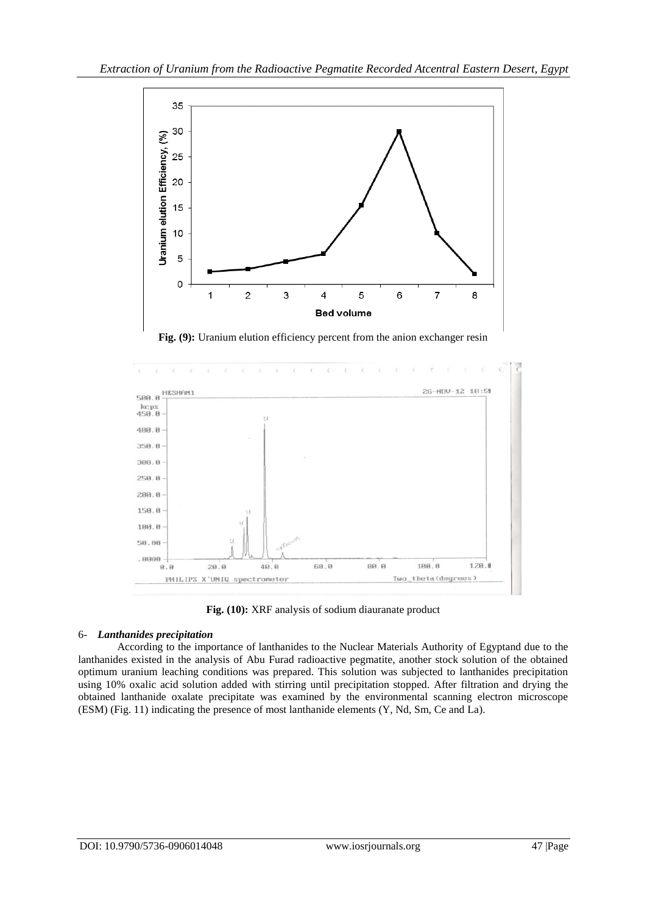

**Fig. (9):** Uranium elution efficiency percent from the anion exchanger resin



**Fig. (10):** XRF analysis of sodium diauranate product

# 6- *Lanthanides precipitation*

According to the importance of lanthanides to the Nuclear Materials Authority of Egyptand due to the lanthanides existed in the analysis of Abu Furad radioactive pegmatite, another stock solution of the obtained optimum uranium leaching conditions was prepared. This solution was subjected to lanthanides precipitation using 10% oxalic acid solution added with stirring until precipitation stopped. After filtration and drying the obtained lanthanide oxalate precipitate was examined by the environmental scanning electron microscope (ESM) (Fig. 11) indicating the presence of most lanthanide elements (Y, Nd, Sm, Ce and La).